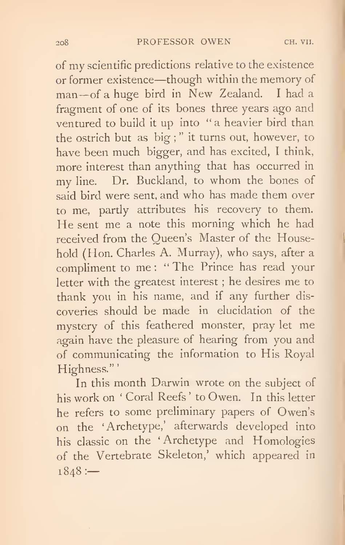of my scientific predictions relative to the existence or former existence—though within the memory of man—of <sup>a</sup> huge bird in New Zealand. <sup>I</sup> had <sup>a</sup> fragment of one of its bones three years ago and ventured to build it up into " a heavier bird than the ostrich but as big ; " it turns out, however, to have been much bigger, and has excited, <sup>I</sup> think, more interest than anything that has occurred in my line. Dr. Buckland, to whom the bones of said bird were sent, and who has made them over to me, partly attributes his recovery to them. He sent me a note this morning which he had received from the Queen's Master of the Household (Hon. Charles A. Murray), who says, after a compliment to me; "The Prince has read your letter with the greatest interest ; he desires me to thank you in his name, and if any further discoveries should be made in elucidation of the mystery of this feathered monster, pray let me again have the pleasure of hearing from you and of communicating the information to His Royal Highness."'

In this month Darwin wrote on the subject of his work on ' Coral Reefs ' to Owen. In this letter he refers to some preliminary papers of Owen's on the 'Archetype,' afterwards developed into his classic on the ' Archetype and Homologies of the Vertebrate Skeleton,' which appeared in  $1848:$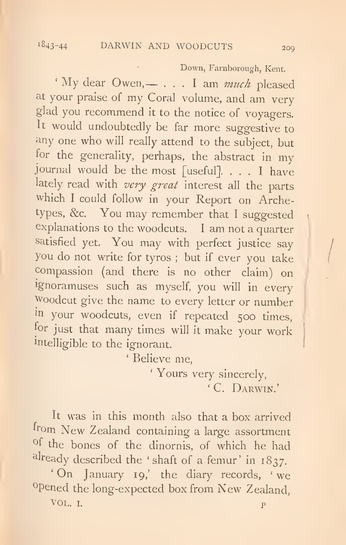Down, Farnborough, Kent.

' My dear Owen,  $- \ldots$  I am *much* pleased at your praise of my Coral volume, and am very glad you recommend it to the notice of voyagers. It would undoubtedly be far more suggestive to any one who will really attend to the subject, but for the generality, perhaps, the abstract in my journal would be the most [useful], ... <sup>I</sup> have lately read with very great interest all the parts which <sup>I</sup> could follow in your Report on Archetypes, &c. You may remember that <sup>I</sup> suggested explanations to the woodcuts. <sup>I</sup> am not a quarter satisfied yet. You may with perfect justice say you do not write for tyros ; but if ever you take compassion (and there is no other claim) on Ignoramuses such as myself, you will in every Woodcut give the name to every letter or number m your woodcuts, even if repeated <sup>500</sup> times, for just that many times will it make your work intelligible to the ignorant.

' Believe me,

' Yours very sincerely, ' C. Darwin.'

It was in this month also that a box arrived from New Zealand containing a large assortment of the bones of the dinornis, of which he had already described the 'shaft of a femur' in 1837. 'On January 19,' the diary records, ' we 'Opened the long-expected box from New Zealand, VOL. I. produced a series of the series of the series of the series of the series of the series of the series of the series of the series of the series of the series of the series of the series of the series of the series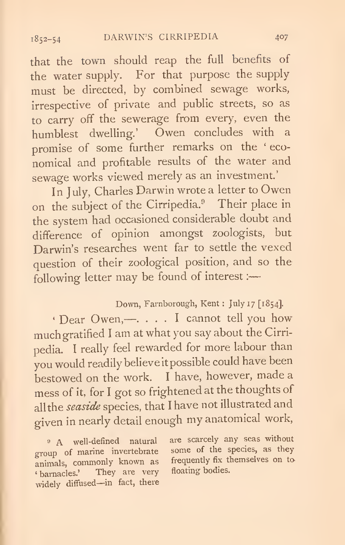that the town should reap the full benefits of the water supply. For that purpose the supply must be directed, by combined sewage works, irrespective of private and public streets, so as to carry off the sewerage from every, even the humblest dwelling.' Owen concludes with <sup>a</sup> promise of some further remarks on the ' eco nomical and profitable results of the water and sewage works viewed merely as an investment.

In July, Charles Darwin wrote <sup>a</sup> letter to Owen on the subject of the Cirripedia." Their place in the system had occasioned considerable doubt and difference of opinion amongst zoologists, but Darwin's researches went far to settle the vexed question of their zoological position, and so the following letter may be found of interest ;

## Down, Farnborough, Kent : July 17 [1854].

' Dear Owen,—. ... <sup>I</sup> cannot tell you how much gratified <sup>I</sup> am at what you say about the Cirripedia. <sup>I</sup> really feel rewarded for more labour than you would readily believe it possible could have been bestowed on the work. <sup>I</sup> have, however, made <sup>a</sup> mess of it, for <sup>I</sup> got so frightened at the thoughts of all the seaside species, that I have not illustrated and given in nearly detail enough my anatomical work,

group of marine invertebrate some of the species, as they enjined commonly known as frequently fix themselves on to animals, commonly known as frequently fix the<br>themselves. They are very floating bodies. ' barnacles.' They are very widely diffused—in fact, there

<sup>9</sup> A well-defined natural are scarcely any seas without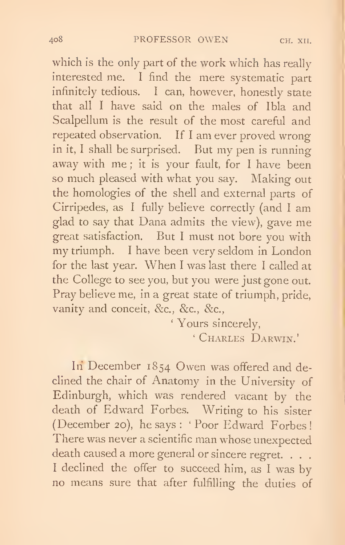which is the only part of the work which has really interested me. <sup>I</sup> find the mere systematic part infinitely tedious. <sup>I</sup> can, however, honestly state that all <sup>I</sup> have said on the males of Ibla and Scalpellum is the result of the most careful and repeated observation. If <sup>I</sup> am ever proved wrong in it, <sup>I</sup> shall be surprised. But my pen is running away with me; it is your fault, for I have been so much pleased with what you say. Making out the homologies of the shell and external parts of Cirripedes, as <sup>I</sup> fully believe correctly (and <sup>I</sup> am glad to say that Dana admits the view), gave me great satisfaction. But <sup>I</sup> must not bore you with my triumph. <sup>I</sup> have been very seldom in London for the last year. When <sup>I</sup> was last there <sup>I</sup> called at the College to see you, but you were just gone out. Pray believe me, in a great state of triumph, pride, vanity and conceit, &c., &c., &c.,

> ' Yours sincerely, ' Charles Darwin.'

In December 1854 Owen was offered and declined the chair of Anatomy in the University of Edinburgh, which was rendered vacant by the death of Edward Forbes. Writing to his sister (December 20), he says : ' Poor Edward Forbes! There was never a scientific man whose unexpected death caused a more general or sincere regret. . . . I declined the offer to succeed him, as I was byno means sure that after fulfilling the duties of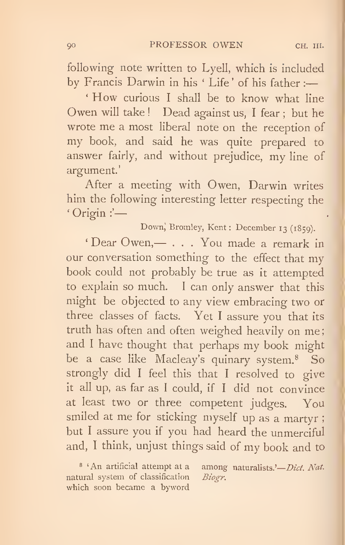following note written to Lyell, which is included by Francis Darwin in his ' Life' of his father :

' How curious <sup>I</sup> shall be to know what line Owen will take ! Dead against us, <sup>I</sup> fear ; but he wrote me a most liberal note on the reception of my book, and said he was quite prepared to answer fairly, and without prejudice, my line of argument'

After a meeting with Owen, Darwin writes him the following interesting letter respecting the ' Origin :'

Down, Bromley, Kent : December <sup>13</sup> (1859).

' Dear Owen,— ... You made <sup>a</sup> remark in our conversation something to the effect that my book could not probably be true as it attempted to explain so much. <sup>I</sup> can only answer that this might be objected to any view embracing two or three classes of facts. Yet <sup>I</sup> assure you that its truth has often and often weighed heavily on me and <sup>I</sup> have thought that perhaps my book might be a case like Macleay's quinary system.® So strongly did <sup>I</sup> feel this that <sup>I</sup> resolved to give it all up, as far as <sup>I</sup> could, if <sup>I</sup> did not convince at least two or three competent judges. You smiled at me for sticking myself up as <sup>a</sup> martyr ; but <sup>I</sup> assure you if you had heard the unmerciful and, <sup>I</sup> think, unjust things said of my book and to

<sup>8</sup> ' An artificial attempt at a among naturalists.'— *Dict. Nat.* ural system of classification *Biogr*. natural system of classification which soon became a byword